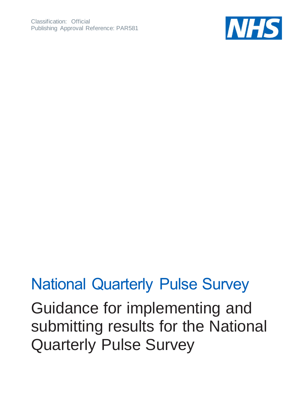

#### National Quarterly Pulse Survey

Guidance for implementing and submitting results for the National Quarterly Pulse Survey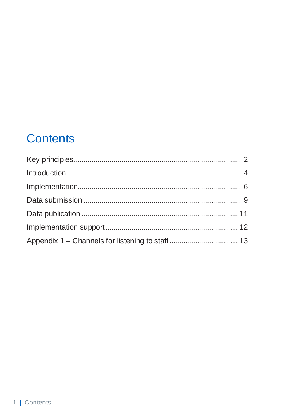#### **Contents**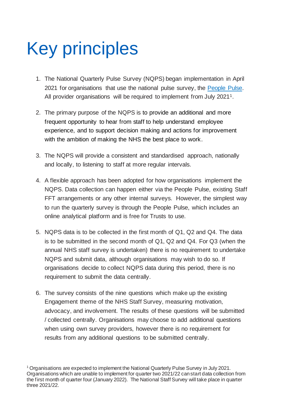# <span id="page-2-0"></span>Key principles

- 1. The National Quarterly Pulse Survey (NQPS) began implementation in April 2021 for organisations that use the national pulse survey, the [People Pulse.](https://www.england.nhs.uk/nhs-people-pulse/) All provider organisations will be required to implement from July 2021<sup>1</sup>.
- 2. The primary purpose of the NQPS is to provide an additional and more frequent opportunity to hear from staff to help understand employee experience, and to support decision making and actions for improvement with the ambition of making the NHS the best place to work.
- 3. The NQPS will provide a consistent and standardised approach, nationally and locally, to listening to staff at more regular intervals.
- 4. A flexible approach has been adopted for how organisations implement the NQPS. Data collection can happen either via the People Pulse, existing Staff FFT arrangements or any other internal surveys. However, the simplest way to run the quarterly survey is through the People Pulse, which includes an online analytical platform and is free for Trusts to use.
- 5. NQPS data is to be collected in the first month of Q1, Q2 and Q4. The data is to be submitted in the second month of Q1, Q2 and Q4. For Q3 (when the annual NHS staff survey is undertaken) there is no requirement to undertake NQPS and submit data, although organisations may wish to do so. If organisations decide to collect NQPS data during this period, there is no requirement to submit the data centrally.
- 6. The survey consists of the nine questions which make up the existing Engagement theme of the NHS Staff Survey, measuring motivation, advocacy, and involvement. The results of these questions will be submitted / collected centrally. Organisations may choose to add additional questions when using own survey providers, however there is no requirement for results from any additional questions to be submitted centrally.

<sup>1</sup> Organisations are expected to implement the National Quarterly Pulse Survey in July 2021. Organisations which are unable to implement for quarter two 2021/22 can start data collection from the first month of quarter four (January 2022). The National Staff Survey will take place in quarter three 2021/22.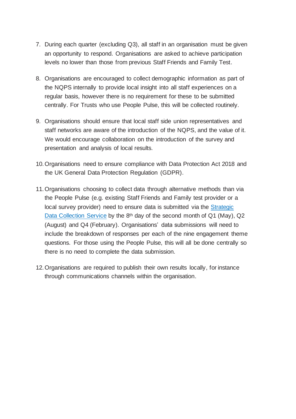- 7. During each quarter (excluding Q3), all staff in an organisation must be given an opportunity to respond. Organisations are asked to achieve participation levels no lower than those from previous Staff Friends and Family Test.
- 8. Organisations are encouraged to collect demographic information as part of the NQPS internally to provide local insight into all staff experiences on a regular basis, however there is no requirement for these to be submitted centrally. For Trusts who use People Pulse, this will be collected routinely.
- 9. Organisations should ensure that local staff side union representatives and staff networks are aware of the introduction of the NQPS, and the value of it. We would encourage collaboration on the introduction of the survey and presentation and analysis of local results.
- 10.Organisations need to ensure compliance with Data Protection Act 2018 and the UK General Data Protection Regulation (GDPR).
- 11.Organisations choosing to collect data through alternative methods than via the People Pulse (e.g. existing Staff Friends and Family test provider or a local survey provider) need to ensure data is submitted via the [Strategic](https://datacollection.sdcs.digital.nhs.uk/)  [Data Collection Service](https://datacollection.sdcs.digital.nhs.uk/) by the 8th day of the second month of Q1 (May), Q2 (August) and Q4 (February). Organisations' data submissions will need to include the breakdown of responses per each of the nine engagement theme questions. For those using the People Pulse, this will all be done centrally so there is no need to complete the data submission.
- 12.Organisations are required to publish their own results locally, for instance through communications channels within the organisation.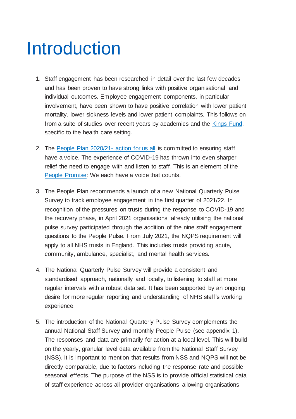#### <span id="page-4-0"></span>Introduction

- 1. Staff engagement has been researched in detail over the last few decades and has been proven to have strong links with positive organisational and individual outcomes. Employee engagement components, in particular involvement, have been shown to have positive correlation with lower patient mortality, lower sickness levels and lower patient complaints. This follows on from a suite of studies over recent years by academics and the [Kings Fund,](https://www.kingsfund.org.uk/sites/default/files/employee-engagement-nhs-performance-west-dawson-leadership-review2012-paper.pdf) specific to the health care setting.
- 2. The [People Plan 2020/21-](https://www.england.nhs.uk/publication/we-are-the-nhs-people-plan-for-2020-21-action-for-us-all/) action for us all is committed to ensuring staff have a voice. The experience of COVID-19 has thrown into even sharper relief the need to engage with and listen to staff. This is an element of the [People Promise:](https://www.england.nhs.uk/publication/our-nhs-people-promise/) We each have a voice that counts.
- 3. The People Plan recommends a launch of a new National Quarterly Pulse Survey to track employee engagement in the first quarter of 2021/22. In recognition of the pressures on trusts during the response to COVID-19 and the recovery phase, in April 2021 organisations already utilising the national pulse survey participated through the addition of the nine staff engagement questions to the People Pulse. From July 2021, the NQPS requirement will apply to all NHS trusts in England. This includes trusts providing acute, community, ambulance, specialist, and mental health services.
- 4. The National Quarterly Pulse Survey will provide a consistent and standardised approach, nationally and locally, to listening to staff at more regular intervals with a robust data set. It has been supported by an ongoing desire for more regular reporting and understanding of NHS staff's working experience.
- 5. The introduction of the National Quarterly Pulse Survey complements the annual National Staff Survey and monthly People Pulse (see appendix 1). The responses and data are primarily for action at a local level. This will build on the yearly, granular level data available from the National Staff Survey (NSS). It is important to mention that results from NSS and NQPS will not be directly comparable, due to factors including the response rate and possible seasonal effects. The purpose of the NSS is to provide official statistical data of staff experience across all provider organisations allowing organisations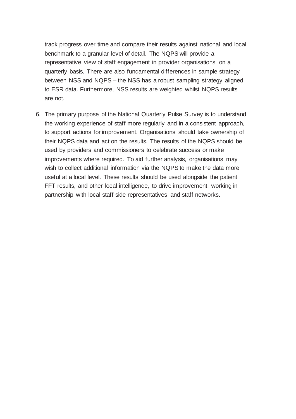track progress over time and compare their results against national and local benchmark to a granular level of detail. The NQPS will provide a representative view of staff engagement in provider organisations on a quarterly basis. There are also fundamental differences in sample strategy between NSS and NQPS – the NSS has a robust sampling strategy aligned to ESR data. Furthermore, NSS results are weighted whilst NQPS results are not.

6. The primary purpose of the National Quarterly Pulse Survey is to understand the working experience of staff more regularly and in a consistent approach, to support actions for improvement. Organisations should take ownership of their NQPS data and act on the results. The results of the NQPS should be used by providers and commissioners to celebrate success or make improvements where required. To aid further analysis, organisations may wish to collect additional information via the NQPS to make the data more useful at a local level. These results should be used alongside the patient FFT results, and other local intelligence, to drive improvement, working in partnership with local staff side representatives and staff networks.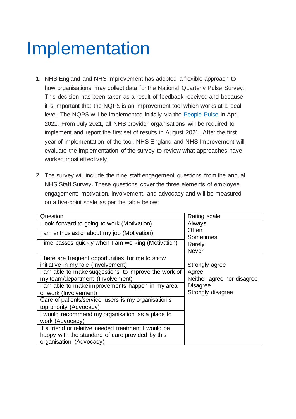### <span id="page-6-0"></span>Implementation

- 1. NHS England and NHS Improvement has adopted a flexible approach to how organisations may collect data for the National Quarterly Pulse Survey. This decision has been taken as a result of feedback received and because it is important that the NQPS is an improvement tool which works at a local level. The NQPS will be implemented initially via the [People Pulse](https://www.england.nhs.uk/nhs-people-pulse/) in April 2021. From July 2021, all NHS provider organisations will be required to implement and report the first set of results in August 2021. After the first year of implementation of the tool, NHS England and NHS Improvement will evaluate the implementation of the survey to review what approaches have worked most effectively.
- 2. The survey will include the nine staff engagement questions from the annual NHS Staff Survey. These questions cover the three elements of employee engagement: motivation, involvement, and advocacy and will be measured on a five-point scale as per the table below:

| Question                                                                                                                           | Rating scale                         |
|------------------------------------------------------------------------------------------------------------------------------------|--------------------------------------|
| I look forward to going to work (Motivation)                                                                                       | Always                               |
| I am enthusiastic about my job (Motivation)                                                                                        | Often<br>Sometimes                   |
| Time passes quickly when I am working (Motivation)                                                                                 | Rarely<br><b>Never</b>               |
| There are frequent opportunities for me to show<br>initiative in my role (Involvement)                                             | Strongly agree                       |
| I am able to make suggestions to improve the work of<br>my team/department (Involvement)                                           | Agree<br>Neither agree nor disagree  |
| I am able to make improvements happen in my area<br>of work (Involvement)                                                          | <b>Disagree</b><br>Strongly disagree |
| Care of patients/service users is my organisation's<br>top priority (Advocacy)                                                     |                                      |
| I would recommend my organisation as a place to<br>work (Advocacy)                                                                 |                                      |
| If a friend or relative needed treatment I would be<br>happy with the standard of care provided by this<br>organisation (Advocacy) |                                      |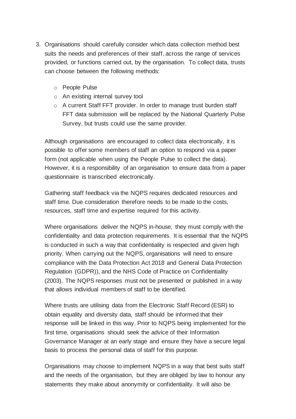- 3. Organisations should carefully consider which data collection method best suits the needs and preferences of their staff, across the range of services provided, or functions carried out, by the organisation. To collect data, trusts can choose between the following methods:
	- o People Pulse
	- o An existing internal survey tool
	- o A current Staff FFT provider. In order to manage trust burden staff FFT data submission will be replaced by the National Quarterly Pulse Survey, but trusts could use the same provider.

Although organisations are encouraged to collect data electronically, it is possible to offer some members of staff an option to respond via a paper form (not applicable when using the People Pulse to collect the data). However, it is a responsibility of an organisation to ensure data from a paper questionnaire is transcribed electronically.

Gathering staff feedback via the NQPS requires dedicated resources and staff time. Due consideration therefore needs to be made to the costs, resources, staff time and expertise required for this activity.

Where organisations deliver the NQPS in-house, they must comply with the confidentiality and data protection requirements. It is essential that the NQPS is conducted in such a way that confidentiality is respected and given high priority. When carrying out the NQPS, organisations will need to ensure compliance with the Data Protection Act 2018 and General Data Protection Regulation (GDPR)), and the NHS Code of Practice on Confidentiality (2003). The NQPS responses must not be presented or published in a way that allows individual members of staff to be identified.

Where trusts are utilising data from the Electronic Staff Record (ESR) to obtain equality and diversity data, staff should be informed that their response will be linked in this way. Prior to NQPS being implemented for the first time, organisations should seek the advice of their Information Governance Manager at an early stage and ensure they have a secure legal basis to process the personal data of staff for this purpose.

Organisations may choose to implement NQPS in a way that best suits staff and the needs of the organisation, but they are obliged by law to honour any statements they make about anonymity or confidentiality. It will also be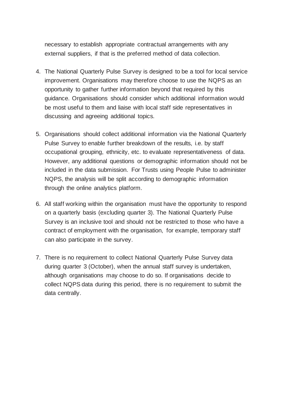necessary to establish appropriate contractual arrangements with any external suppliers, if that is the preferred method of data collection.

- 4. The National Quarterly Pulse Survey is designed to be a tool for local service improvement. Organisations may therefore choose to use the NQPS as an opportunity to gather further information beyond that required by this guidance. Organisations should consider which additional information would be most useful to them and liaise with local staff side representatives in discussing and agreeing additional topics.
- 5. Organisations should collect additional information via the National Quarterly Pulse Survey to enable further breakdown of the results, i.e. by staff occupational grouping, ethnicity, etc. to evaluate representativeness of data. However, any additional questions or demographic information should not be included in the data submission. For Trusts using People Pulse to administer NQPS, the analysis will be split according to demographic information through the online analytics platform.
- 6. All staff working within the organisation must have the opportunity to respond on a quarterly basis (excluding quarter 3). The National Quarterly Pulse Survey is an inclusive tool and should not be restricted to those who have a contract of employment with the organisation, for example, temporary staff can also participate in the survey.
- 7. There is no requirement to collect National Quarterly Pulse Survey data during quarter 3 (October), when the annual staff survey is undertaken, although organisations may choose to do so. If organisations decide to collect NQPS data during this period, there is no requirement to submit the data centrally.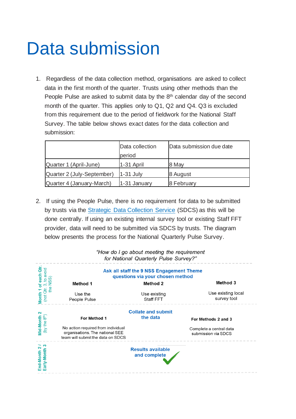### <span id="page-9-0"></span>Data submission

1. Regardless of the data collection method, organisations are asked to collect data in the first month of the quarter. Trusts using other methods than the People Pulse are asked to submit data by the 8<sup>th</sup> calendar day of the second month of the quarter. This applies only to Q1, Q2 and Q4. Q3 is excluded from this requirement due to the period of fieldwork for the National Staff Survey. The table below shows exact dates for the data collection and submission:

|                            | Data collection | Data submission due date |  |  |  |
|----------------------------|-----------------|--------------------------|--|--|--|
|                            | period          |                          |  |  |  |
| Quarter 1 (April-June)     | 1-31 April      | 8 May                    |  |  |  |
| Quarter 2 (July-September) | $1-31$ July     | 8 August                 |  |  |  |
| Quarter 4 (January-March)  | 1-31 January    | 8 February               |  |  |  |

2. If using the People Pulse, there is no requirement for data to be submitted by trusts via the [Strategic Data Collection Service](https://datacollection.sdcs.digital.nhs.uk/) (SDCS) as this will be done centrally. If using an existing internal survey tool or existing Staff FFT provider, data will need to be submitted via SDCS by trusts. The diagram below presents the process for the National Quarterly Pulse Survey.

|                                        |                                                                                                            | ror reduction gaartony range carvey.     |                                                |  |  |  |  |  |  |  |
|----------------------------------------|------------------------------------------------------------------------------------------------------------|------------------------------------------|------------------------------------------------|--|--|--|--|--|--|--|
| ਰੋ<br>avoid<br>each                    | Ask all staff the 9 NSS Engagement Theme<br>questions via your chosen method                               |                                          |                                                |  |  |  |  |  |  |  |
|                                        | <b>Method 1</b>                                                                                            | <b>Method 2</b>                          | Method 3                                       |  |  |  |  |  |  |  |
| the<br>(not Qtr<br><b>Month</b>        | Use the<br>People Pulse                                                                                    | Use existing<br>Staff FFT                | Use existing local<br>survey tool              |  |  |  |  |  |  |  |
| 2                                      | <b>Collate and submit</b>                                                                                  |                                          |                                                |  |  |  |  |  |  |  |
|                                        | For Method 1                                                                                               | the data                                 | For Methods 2 and 3                            |  |  |  |  |  |  |  |
| (by the 8 <sup>th</sup> )<br>Mid-Month | No action required from individual<br>organisations. The national SEE<br>team will submit the data on SDCS |                                          | Complete a central data<br>submission via SDCS |  |  |  |  |  |  |  |
| က<br>nd-Month 2<br>Early-Month         |                                                                                                            | <b>Results available</b><br>and complete |                                                |  |  |  |  |  |  |  |

"How do I go about meeting the requirement for National Quarterly Pulse Survey?"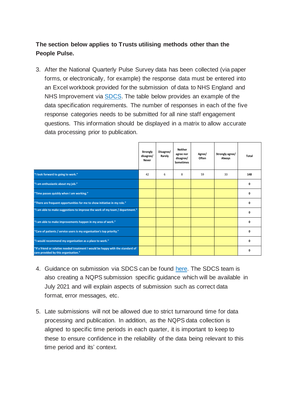#### **The section below applies to Trusts utilising methods other than the People Pulse.**

3. After the National Quarterly Pulse Survey data has been collected (via paper forms, or electronically, for example) the response data must be entered into an Excel workbook provided for the submission of data to NHS England and NHS Improvement via [SDCS.](https://datacollection.sdcs.digital.nhs.uk/) The table below provides an example of the data specification requirements. The number of responses in each of the five response categories needs to be submitted for all nine staff engagement questions. This information should be displayed in a matrix to allow accurate data processing prior to publication.

|                                                                                                                         | Strongly<br>disagree/<br>Never | Disagree/<br>Rarely | <b>Neither</b><br>agree nor<br>disagree/<br><b>Sometimes</b> | Agree/<br>Often | Strongly agree/<br>Always | Total |
|-------------------------------------------------------------------------------------------------------------------------|--------------------------------|---------------------|--------------------------------------------------------------|-----------------|---------------------------|-------|
| "I look forward to going to work."                                                                                      | 42                             | 6                   | 8                                                            | 59              | 33                        | 148   |
| "I am enthusiastic about my job."                                                                                       |                                |                     |                                                              |                 |                           | O     |
| "Time passes quickly when I am working."                                                                                |                                |                     |                                                              |                 |                           | O     |
| "There are frequent opportunities for me to show initiative in my role."                                                |                                |                     |                                                              |                 |                           | O     |
| "I am able to make suggestions to improve the work of my team / department."                                            |                                |                     |                                                              |                 |                           | O     |
| "I am able to make improvements happen in my area of work."                                                             |                                |                     |                                                              |                 |                           |       |
| "Care of patients / service users is my organisation's top priority."                                                   |                                |                     |                                                              |                 |                           |       |
| "I would recommend my organisation as a place to work."                                                                 |                                |                     |                                                              |                 |                           |       |
| "If a friend or relative needed treatment I would be happy with the standard of<br>care provided by this organisation." |                                |                     |                                                              |                 |                           |       |

- 4. Guidance on submission via SDCS can be found [here.](https://digital.nhs.uk/services/strategic-data-collection-service-sdcs) The SDCS team is also creating a NQPS submission specific guidance which will be available in July 2021 and will explain aspects of submission such as correct data format, error messages, etc.
- 5. Late submissions will not be allowed due to strict turnaround time for data processing and publication. In addition, as the NQPS data collection is aligned to specific time periods in each quarter, it is important to keep to these to ensure confidence in the reliability of the data being relevant to this time period and its' context.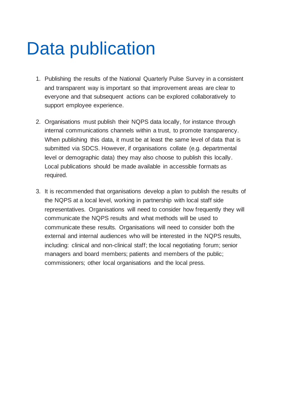### <span id="page-11-0"></span>Data publication

- 1. Publishing the results of the National Quarterly Pulse Survey in a consistent and transparent way is important so that improvement areas are clear to everyone and that subsequent actions can be explored collaboratively to support employee experience.
- 2. Organisations must publish their NQPS data locally, for instance through internal communications channels within a trust, to promote transparency. When publishing this data, it must be at least the same level of data that is submitted via SDCS. However, if organisations collate (e.g. departmental level or demographic data) they may also choose to publish this locally. Local publications should be made available in accessible formats as required.
- 3. It is recommended that organisations develop a plan to publish the results of the NQPS at a local level, working in partnership with local staff side representatives. Organisations will need to consider how frequently they will communicate the NQPS results and what methods will be used to communicate these results. Organisations will need to consider both the external and internal audiences who will be interested in the NQPS results, including: clinical and non-clinical staff; the local negotiating forum; senior managers and board members; patients and members of the public; commissioners; other local organisations and the local press.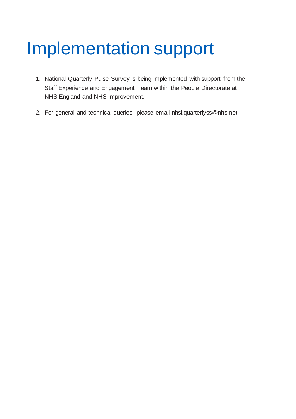## <span id="page-12-0"></span>Implementation support

- 1. National Quarterly Pulse Survey is being implemented with support from the Staff Experience and Engagement Team within the People Directorate at NHS England and NHS Improvement.
- 2. For general and technical queries, please email nhsi.quarterlyss@nhs.net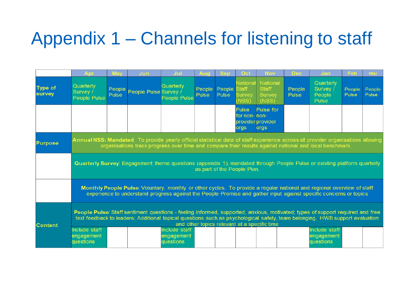# Appendix 1 – Channels for listening to staff

<span id="page-13-0"></span>

|                          |                                                                                                                                                                                                                                                                                                              | Mav             | <b>Jun</b>            |                                          |                 |                 |                                            | <b>Nov</b>                                  | Dec             | Jan                                      | Feb             | Mar                    |
|--------------------------|--------------------------------------------------------------------------------------------------------------------------------------------------------------------------------------------------------------------------------------------------------------------------------------------------------------|-----------------|-----------------------|------------------------------------------|-----------------|-----------------|--------------------------------------------|---------------------------------------------|-----------------|------------------------------------------|-----------------|------------------------|
| <b>Type of</b><br>survey | Quarterly<br>Survey /<br><b>People Pulse</b>                                                                                                                                                                                                                                                                 | People<br>Pulse | People Pulse Survey / | Quarterly<br><b>People Pulse</b>         | People<br>Pulse | People<br>Pulse | National<br>Staff<br><b>Survey</b><br>NSS) | National<br><b>Staff</b><br>Survey<br>(NSS) | People<br>Pulse | Quarterly<br>Survey /<br>People<br>Pulse | People<br>Pulse | People<br><b>Pulse</b> |
|                          |                                                                                                                                                                                                                                                                                                              |                 |                       |                                          |                 |                 | Pulse<br>for non- non-<br>orgs             | Pulse for<br>provider provider<br>orgs      |                 |                                          |                 |                        |
| <b>Purpose</b>           | Annual NSS: Mandated. To provide yearly official statistical data of staff experience across all provider organisations allowing<br>organisations track progress over time and compare their results against national and local benchmark.                                                                   |                 |                       |                                          |                 |                 |                                            |                                             |                 |                                          |                 |                        |
|                          | Quarterly Survey: Engagement theme questions (appendix 1), mandated through People Pulse or existing platform quarterly<br>as part of the People Plan.                                                                                                                                                       |                 |                       |                                          |                 |                 |                                            |                                             |                 |                                          |                 |                        |
|                          | Monthly People Pulse: Voluntary, monthly or other cycles. To provide a regular national and regional overview of staff<br>experience to understand progress against the People Promise and gather input against specific concerns or topics                                                                  |                 |                       |                                          |                 |                 |                                            |                                             |                 |                                          |                 |                        |
| <b>Content</b>           | People Pulse: Staff sentiment questions - feeling informed, supported, anxious, motivated; types of support required and free<br>text feedback to leaders; Additional topical questions such as psychological safety, team belonging, HWB support evaluation<br>and other topics relevant at a specific time |                 |                       |                                          |                 |                 |                                            |                                             |                 |                                          |                 |                        |
|                          | Include staff<br>engagement<br>questions                                                                                                                                                                                                                                                                     |                 |                       | Include staff<br>engagement<br>questions |                 |                 |                                            |                                             |                 | Include staff<br>engagement<br>questions |                 |                        |